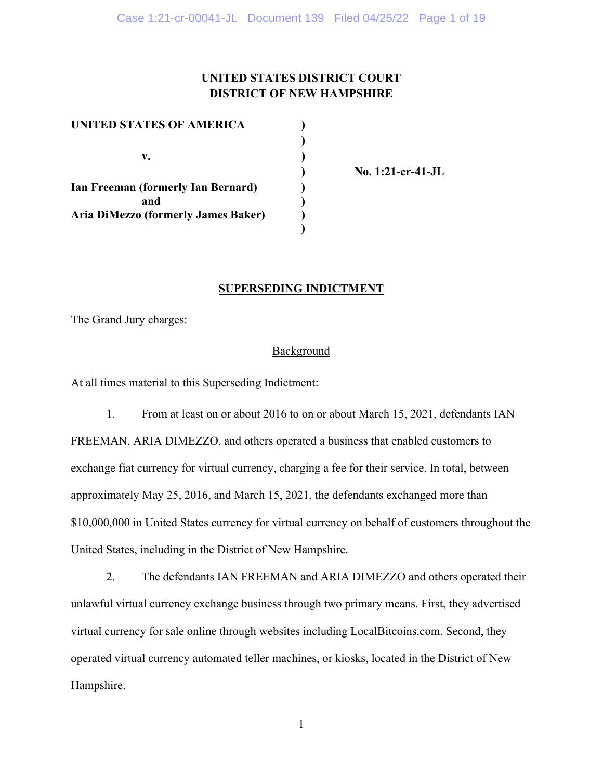## **UNITED STATES DISTRICT COURT DISTRICT OF NEW HAMPSHIRE**

| UNITED STATES OF AMERICA            |  |
|-------------------------------------|--|
|                                     |  |
| v.                                  |  |
|                                     |  |
| Ian Freeman (formerly Ian Bernard)  |  |
| and                                 |  |
| Aria DiMezzo (formerly James Baker) |  |
|                                     |  |

 **) No. 1:21-cr-41-JL** 

## **SUPERSEDING INDICTMENT**

The Grand Jury charges:

## **Background**

At all times material to this Superseding Indictment:

 1. From at least on or about 2016 to on or about March 15, 2021, defendants IAN FREEMAN, ARIA DIMEZZO, and others operated a business that enabled customers to exchange fiat currency for virtual currency, charging a fee for their service. In total, between approximately May 25, 2016, and March 15, 2021, the defendants exchanged more than \$10,000,000 in United States currency for virtual currency on behalf of customers throughout the United States, including in the District of New Hampshire.

2. The defendants IAN FREEMAN and ARIA DIMEZZO and others operated their unlawful virtual currency exchange business through two primary means. First, they advertised virtual currency for sale online through websites including LocalBitcoins.com. Second, they operated virtual currency automated teller machines, or kiosks, located in the District of New Hampshire.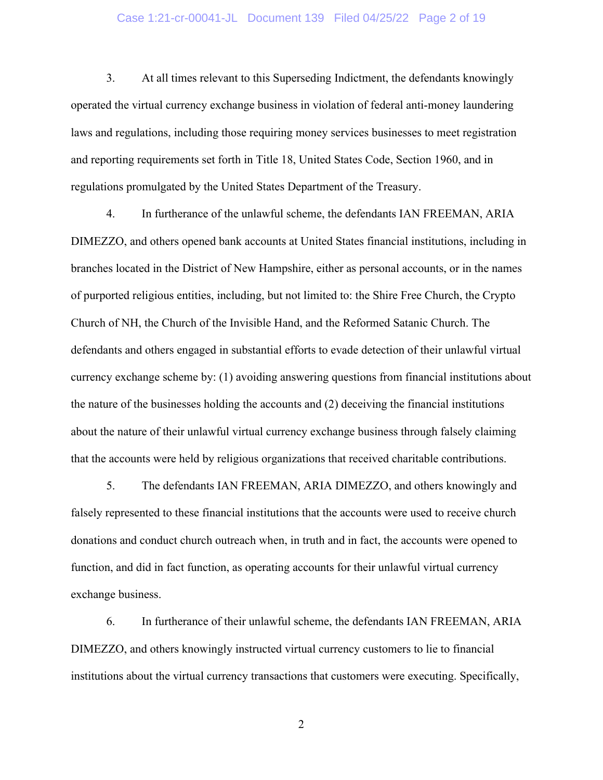## Case 1:21-cr-00041-JL Document 139 Filed 04/25/22 Page 2 of 19

3. At all times relevant to this Superseding Indictment, the defendants knowingly operated the virtual currency exchange business in violation of federal anti-money laundering laws and regulations, including those requiring money services businesses to meet registration and reporting requirements set forth in Title 18, United States Code, Section 1960, and in regulations promulgated by the United States Department of the Treasury.

4. In furtherance of the unlawful scheme, the defendants IAN FREEMAN, ARIA DIMEZZO, and others opened bank accounts at United States financial institutions, including in branches located in the District of New Hampshire, either as personal accounts, or in the names of purported religious entities, including, but not limited to: the Shire Free Church, the Crypto Church of NH, the Church of the Invisible Hand, and the Reformed Satanic Church. The defendants and others engaged in substantial efforts to evade detection of their unlawful virtual currency exchange scheme by: (1) avoiding answering questions from financial institutions about the nature of the businesses holding the accounts and (2) deceiving the financial institutions about the nature of their unlawful virtual currency exchange business through falsely claiming that the accounts were held by religious organizations that received charitable contributions.

5. The defendants IAN FREEMAN, ARIA DIMEZZO, and others knowingly and falsely represented to these financial institutions that the accounts were used to receive church donations and conduct church outreach when, in truth and in fact, the accounts were opened to function, and did in fact function, as operating accounts for their unlawful virtual currency exchange business.

6. In furtherance of their unlawful scheme, the defendants IAN FREEMAN, ARIA DIMEZZO, and others knowingly instructed virtual currency customers to lie to financial institutions about the virtual currency transactions that customers were executing. Specifically,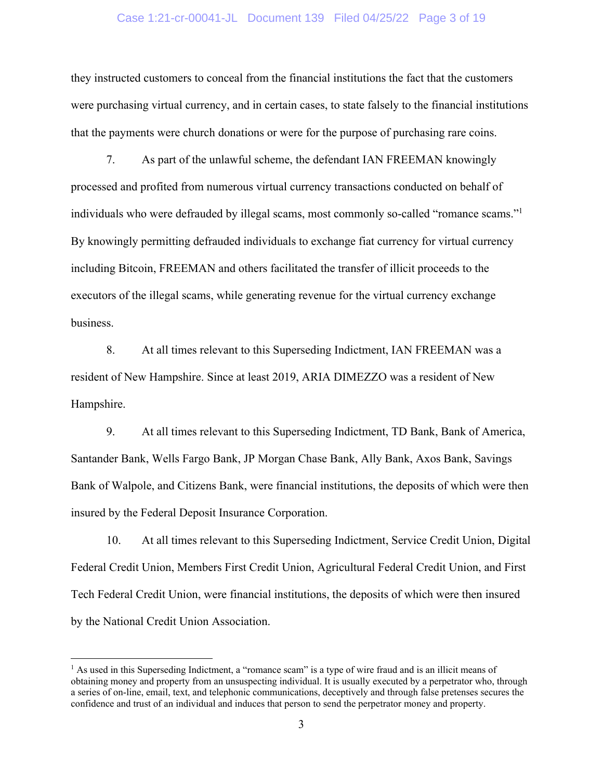### Case 1:21-cr-00041-JL Document 139 Filed 04/25/22 Page 3 of 19

they instructed customers to conceal from the financial institutions the fact that the customers were purchasing virtual currency, and in certain cases, to state falsely to the financial institutions that the payments were church donations or were for the purpose of purchasing rare coins.

7. As part of the unlawful scheme, the defendant IAN FREEMAN knowingly processed and profited from numerous virtual currency transactions conducted on behalf of individuals who were defrauded by illegal scams, most commonly so-called "romance scams."1 By knowingly permitting defrauded individuals to exchange fiat currency for virtual currency including Bitcoin, FREEMAN and others facilitated the transfer of illicit proceeds to the executors of the illegal scams, while generating revenue for the virtual currency exchange business.

8. At all times relevant to this Superseding Indictment, IAN FREEMAN was a resident of New Hampshire. Since at least 2019, ARIA DIMEZZO was a resident of New Hampshire.

9. At all times relevant to this Superseding Indictment, TD Bank, Bank of America, Santander Bank, Wells Fargo Bank, JP Morgan Chase Bank, Ally Bank, Axos Bank, Savings Bank of Walpole, and Citizens Bank, were financial institutions, the deposits of which were then insured by the Federal Deposit Insurance Corporation.

10. At all times relevant to this Superseding Indictment, Service Credit Union, Digital Federal Credit Union, Members First Credit Union, Agricultural Federal Credit Union, and First Tech Federal Credit Union, were financial institutions, the deposits of which were then insured by the National Credit Union Association.

<sup>&</sup>lt;sup>1</sup> As used in this Superseding Indictment, a "romance scam" is a type of wire fraud and is an illicit means of obtaining money and property from an unsuspecting individual. It is usually executed by a perpetrator who, through a series of on-line, email, text, and telephonic communications, deceptively and through false pretenses secures the confidence and trust of an individual and induces that person to send the perpetrator money and property.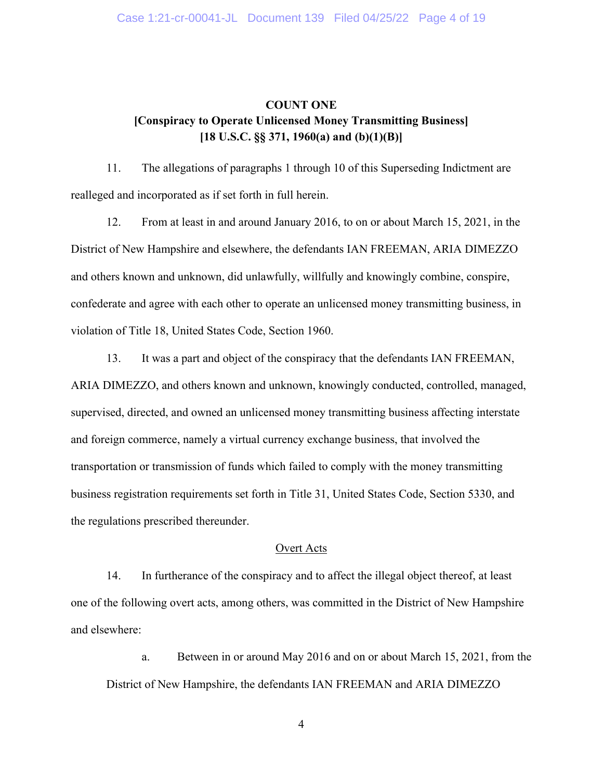## **COUNT ONE [Conspiracy to Operate Unlicensed Money Transmitting Business] [18 U.S.C. §§ 371, 1960(a) and (b)(1)(B)]**

11. The allegations of paragraphs 1 through 10 of this Superseding Indictment are realleged and incorporated as if set forth in full herein.

12. From at least in and around January 2016, to on or about March 15, 2021, in the District of New Hampshire and elsewhere, the defendants IAN FREEMAN, ARIA DIMEZZO and others known and unknown, did unlawfully, willfully and knowingly combine, conspire, confederate and agree with each other to operate an unlicensed money transmitting business, in violation of Title 18, United States Code, Section 1960.

13. It was a part and object of the conspiracy that the defendants IAN FREEMAN, ARIA DIMEZZO, and others known and unknown, knowingly conducted, controlled, managed, supervised, directed, and owned an unlicensed money transmitting business affecting interstate and foreign commerce, namely a virtual currency exchange business, that involved the transportation or transmission of funds which failed to comply with the money transmitting business registration requirements set forth in Title 31, United States Code, Section 5330, and the regulations prescribed thereunder.

## Overt Acts

14. In furtherance of the conspiracy and to affect the illegal object thereof, at least one of the following overt acts, among others, was committed in the District of New Hampshire and elsewhere:

a. Between in or around May 2016 and on or about March 15, 2021, from the District of New Hampshire, the defendants IAN FREEMAN and ARIA DIMEZZO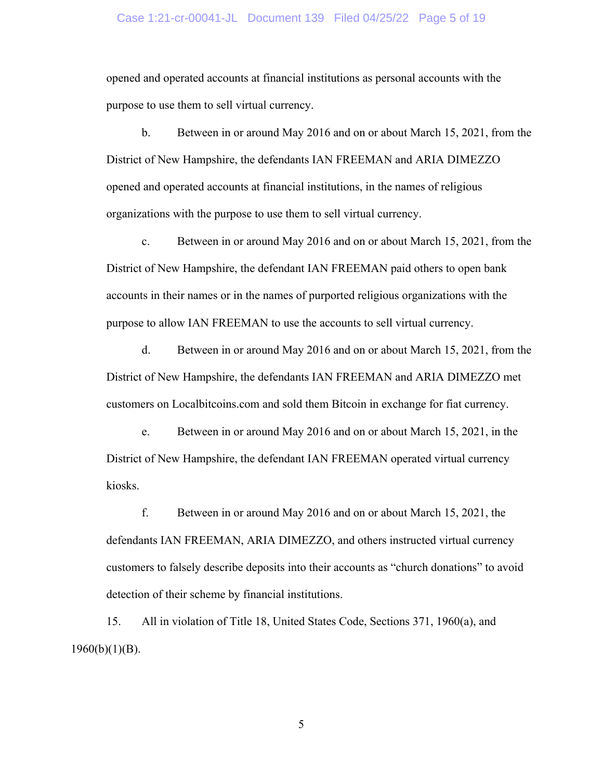## Case 1:21-cr-00041-JL Document 139 Filed 04/25/22 Page 5 of 19

opened and operated accounts at financial institutions as personal accounts with the purpose to use them to sell virtual currency.

b. Between in or around May 2016 and on or about March 15, 2021, from the District of New Hampshire, the defendants IAN FREEMAN and ARIA DIMEZZO opened and operated accounts at financial institutions, in the names of religious organizations with the purpose to use them to sell virtual currency.

c. Between in or around May 2016 and on or about March 15, 2021, from the District of New Hampshire, the defendant IAN FREEMAN paid others to open bank accounts in their names or in the names of purported religious organizations with the purpose to allow IAN FREEMAN to use the accounts to sell virtual currency.

d. Between in or around May 2016 and on or about March 15, 2021, from the District of New Hampshire, the defendants IAN FREEMAN and ARIA DIMEZZO met customers on Localbitcoins.com and sold them Bitcoin in exchange for fiat currency.

e. Between in or around May 2016 and on or about March 15, 2021, in the District of New Hampshire, the defendant IAN FREEMAN operated virtual currency kiosks.

f. Between in or around May 2016 and on or about March 15, 2021, the defendants IAN FREEMAN, ARIA DIMEZZO, and others instructed virtual currency customers to falsely describe deposits into their accounts as "church donations" to avoid detection of their scheme by financial institutions.

15. All in violation of Title 18, United States Code, Sections 371, 1960(a), and  $1960(b)(1)(B)$ .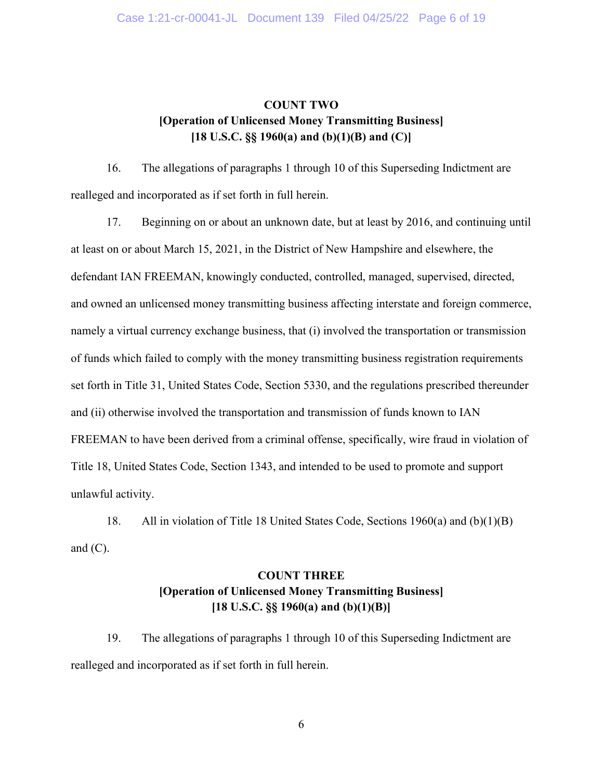## **COUNT TWO [Operation of Unlicensed Money Transmitting Business] [18 U.S.C. §§ 1960(a) and (b)(1)(B) and (C)]**

16. The allegations of paragraphs 1 through 10 of this Superseding Indictment are realleged and incorporated as if set forth in full herein.

17. Beginning on or about an unknown date, but at least by 2016, and continuing until at least on or about March 15, 2021, in the District of New Hampshire and elsewhere, the defendant IAN FREEMAN, knowingly conducted, controlled, managed, supervised, directed, and owned an unlicensed money transmitting business affecting interstate and foreign commerce, namely a virtual currency exchange business, that (i) involved the transportation or transmission of funds which failed to comply with the money transmitting business registration requirements set forth in Title 31, United States Code, Section 5330, and the regulations prescribed thereunder and (ii) otherwise involved the transportation and transmission of funds known to IAN FREEMAN to have been derived from a criminal offense, specifically, wire fraud in violation of Title 18, United States Code, Section 1343, and intended to be used to promote and support unlawful activity.

18. All in violation of Title 18 United States Code, Sections 1960(a) and (b)(1)(B) and  $(C)$ .

# **COUNT THREE [Operation of Unlicensed Money Transmitting Business] [18 U.S.C. §§ 1960(a) and (b)(1)(B)]**

19. The allegations of paragraphs 1 through 10 of this Superseding Indictment are realleged and incorporated as if set forth in full herein.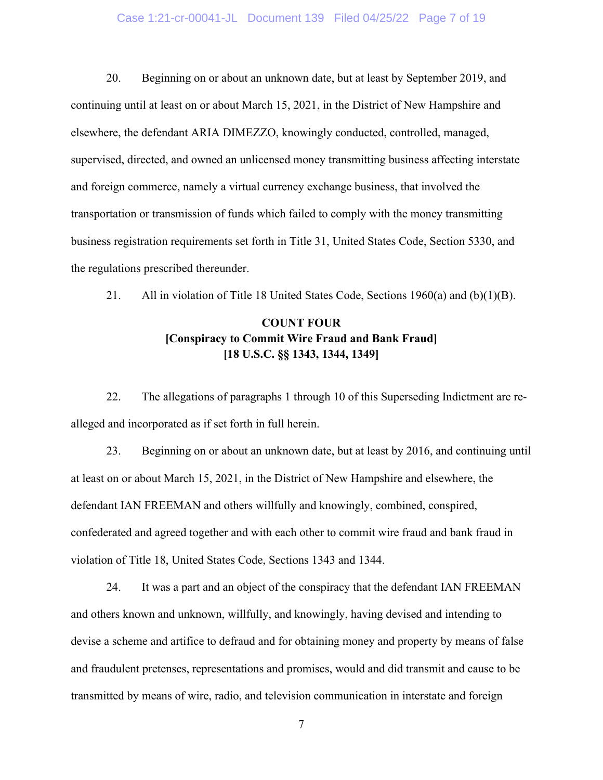## Case 1:21-cr-00041-JL Document 139 Filed 04/25/22 Page 7 of 19

20. Beginning on or about an unknown date, but at least by September 2019, and continuing until at least on or about March 15, 2021, in the District of New Hampshire and elsewhere, the defendant ARIA DIMEZZO, knowingly conducted, controlled, managed, supervised, directed, and owned an unlicensed money transmitting business affecting interstate and foreign commerce, namely a virtual currency exchange business, that involved the transportation or transmission of funds which failed to comply with the money transmitting business registration requirements set forth in Title 31, United States Code, Section 5330, and the regulations prescribed thereunder.

21. All in violation of Title 18 United States Code, Sections 1960(a) and (b)(1)(B).

# **COUNT FOUR [Conspiracy to Commit Wire Fraud and Bank Fraud] [18 U.S.C. §§ 1343, 1344, 1349]**

22. The allegations of paragraphs 1 through 10 of this Superseding Indictment are realleged and incorporated as if set forth in full herein.

23. Beginning on or about an unknown date, but at least by 2016, and continuing until at least on or about March 15, 2021, in the District of New Hampshire and elsewhere, the defendant IAN FREEMAN and others willfully and knowingly, combined, conspired, confederated and agreed together and with each other to commit wire fraud and bank fraud in violation of Title 18, United States Code, Sections 1343 and 1344.

24. It was a part and an object of the conspiracy that the defendant IAN FREEMAN and others known and unknown, willfully, and knowingly, having devised and intending to devise a scheme and artifice to defraud and for obtaining money and property by means of false and fraudulent pretenses, representations and promises, would and did transmit and cause to be transmitted by means of wire, radio, and television communication in interstate and foreign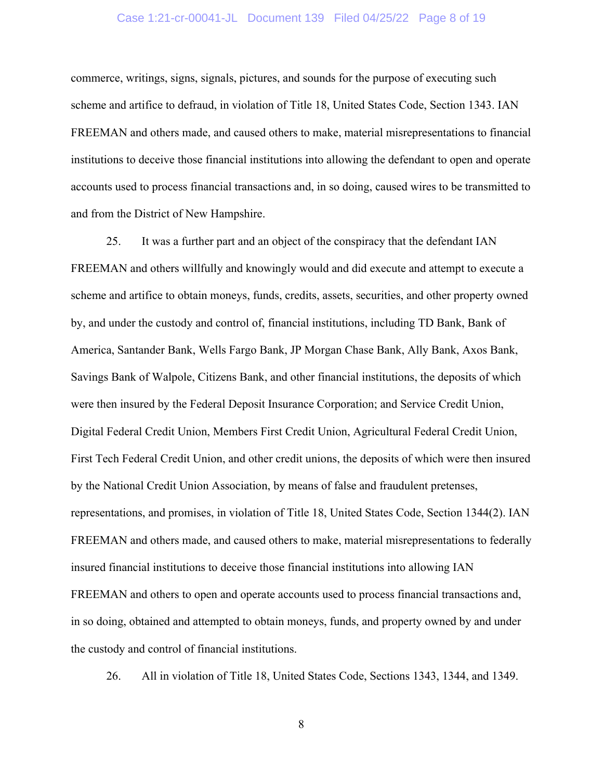## Case 1:21-cr-00041-JL Document 139 Filed 04/25/22 Page 8 of 19

commerce, writings, signs, signals, pictures, and sounds for the purpose of executing such scheme and artifice to defraud, in violation of Title 18, United States Code, Section 1343. IAN FREEMAN and others made, and caused others to make, material misrepresentations to financial institutions to deceive those financial institutions into allowing the defendant to open and operate accounts used to process financial transactions and, in so doing, caused wires to be transmitted to and from the District of New Hampshire.

25. It was a further part and an object of the conspiracy that the defendant IAN FREEMAN and others willfully and knowingly would and did execute and attempt to execute a scheme and artifice to obtain moneys, funds, credits, assets, securities, and other property owned by, and under the custody and control of, financial institutions, including TD Bank, Bank of America, Santander Bank, Wells Fargo Bank, JP Morgan Chase Bank, Ally Bank, Axos Bank, Savings Bank of Walpole, Citizens Bank, and other financial institutions, the deposits of which were then insured by the Federal Deposit Insurance Corporation; and Service Credit Union, Digital Federal Credit Union, Members First Credit Union, Agricultural Federal Credit Union, First Tech Federal Credit Union, and other credit unions, the deposits of which were then insured by the National Credit Union Association, by means of false and fraudulent pretenses, representations, and promises, in violation of Title 18, United States Code, Section 1344(2). IAN FREEMAN and others made, and caused others to make, material misrepresentations to federally insured financial institutions to deceive those financial institutions into allowing IAN FREEMAN and others to open and operate accounts used to process financial transactions and, in so doing, obtained and attempted to obtain moneys, funds, and property owned by and under the custody and control of financial institutions.

26. All in violation of Title 18, United States Code, Sections 1343, 1344, and 1349.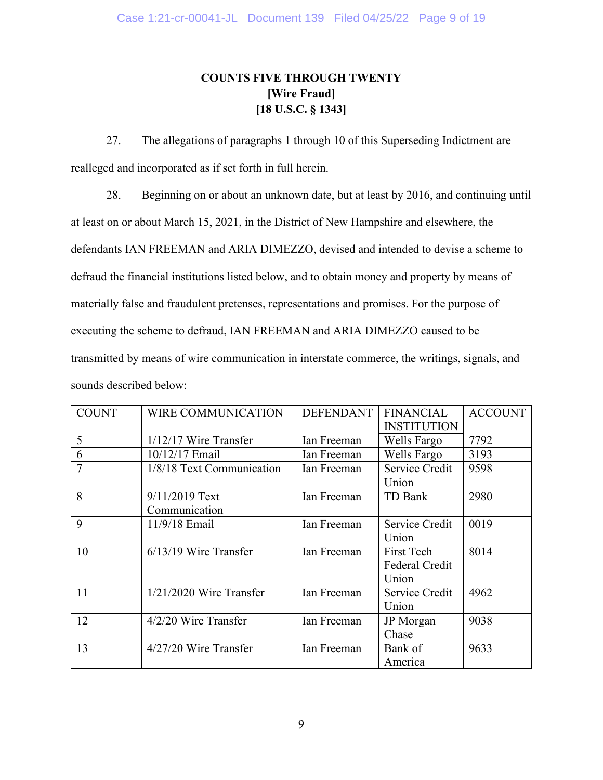# **COUNTS FIVE THROUGH TWENTY [Wire Fraud] [18 U.S.C. § 1343]**

27. The allegations of paragraphs 1 through 10 of this Superseding Indictment are realleged and incorporated as if set forth in full herein.

28. Beginning on or about an unknown date, but at least by 2016, and continuing until at least on or about March 15, 2021, in the District of New Hampshire and elsewhere, the defendants IAN FREEMAN and ARIA DIMEZZO, devised and intended to devise a scheme to defraud the financial institutions listed below, and to obtain money and property by means of materially false and fraudulent pretenses, representations and promises. For the purpose of executing the scheme to defraud, IAN FREEMAN and ARIA DIMEZZO caused to be transmitted by means of wire communication in interstate commerce, the writings, signals, and sounds described below:

| <b>COUNT</b>   | <b>WIRE COMMUNICATION</b>       | <b>DEFENDANT</b> | <b>FINANCIAL</b><br><b>INSTITUTION</b> | <b>ACCOUNT</b> |
|----------------|---------------------------------|------------------|----------------------------------------|----------------|
| 5              | $1/12/17$ Wire Transfer         | Ian Freeman      | Wells Fargo                            | 7792           |
| 6              | 10/12/17 Email                  | Ian Freeman      | Wells Fargo                            | 3193           |
| $\overline{7}$ | 1/8/18 Text Communication       | Ian Freeman      | Service Credit<br>Union                | 9598           |
| 8              | 9/11/2019 Text<br>Communication | Ian Freeman      | TD Bank                                | 2980           |
| 9              | 11/9/18 Email                   | Ian Freeman      | Service Credit<br>Union                | 0019           |
| 10             | $6/13/19$ Wire Transfer         | Ian Freeman      | First Tech<br>Federal Credit<br>Union  | 8014           |
| 11             | $1/21/2020$ Wire Transfer       | Ian Freeman      | Service Credit<br>Union                | 4962           |
| 12             | $4/2/20$ Wire Transfer          | Ian Freeman      | JP Morgan<br>Chase                     | 9038           |
| 13             | $4/27/20$ Wire Transfer         | Ian Freeman      | Bank of<br>America                     | 9633           |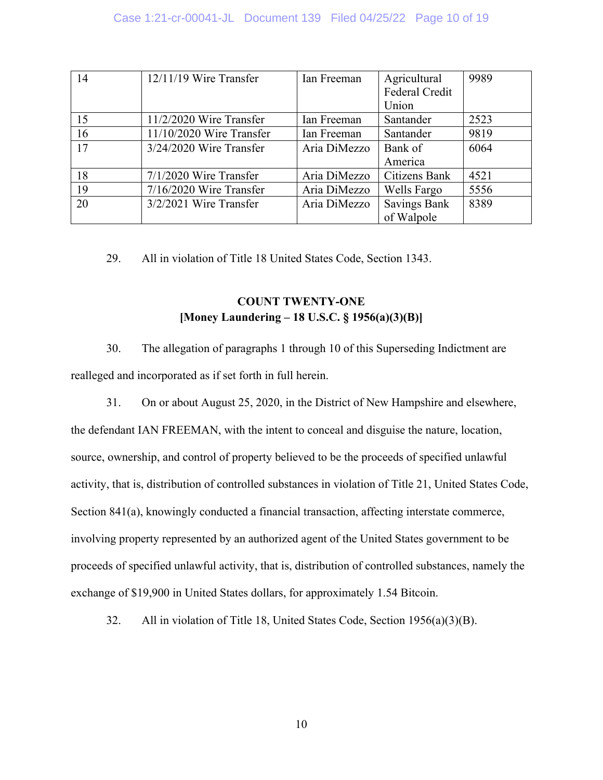| 14 | $12/11/19$ Wire Transfer   | Ian Freeman  | Agricultural          | 9989 |
|----|----------------------------|--------------|-----------------------|------|
|    |                            |              | <b>Federal Credit</b> |      |
|    |                            |              | Union                 |      |
| 15 | $11/2/2020$ Wire Transfer  | Ian Freeman  | Santander             | 2523 |
| 16 | $11/10/2020$ Wire Transfer | Ian Freeman  | Santander             | 9819 |
| 17 | $3/24/2020$ Wire Transfer  | Aria DiMezzo | Bank of               | 6064 |
|    |                            |              | America               |      |
| 18 | $7/1/2020$ Wire Transfer   | Aria DiMezzo | Citizens Bank         | 4521 |
| 19 | $7/16/2020$ Wire Transfer  | Aria DiMezzo | Wells Fargo           | 5556 |
| 20 | $3/2/2021$ Wire Transfer   | Aria DiMezzo | <b>Savings Bank</b>   | 8389 |
|    |                            |              | of Walpole            |      |

29. All in violation of Title 18 United States Code, Section 1343.

# **COUNT TWENTY-ONE [Money Laundering – 18 U.S.C. § 1956(a)(3)(B)]**

- 30. The allegation of paragraphs 1 through 10 of this Superseding Indictment are realleged and incorporated as if set forth in full herein.
- 31. On or about August 25, 2020, in the District of New Hampshire and elsewhere, the defendant IAN FREEMAN, with the intent to conceal and disguise the nature, location, source, ownership, and control of property believed to be the proceeds of specified unlawful activity, that is, distribution of controlled substances in violation of Title 21, United States Code, Section 841(a), knowingly conducted a financial transaction, affecting interstate commerce, involving property represented by an authorized agent of the United States government to be proceeds of specified unlawful activity, that is, distribution of controlled substances, namely the exchange of \$19,900 in United States dollars, for approximately 1.54 Bitcoin.
	- 32. All in violation of Title 18, United States Code, Section 1956(a)(3)(B).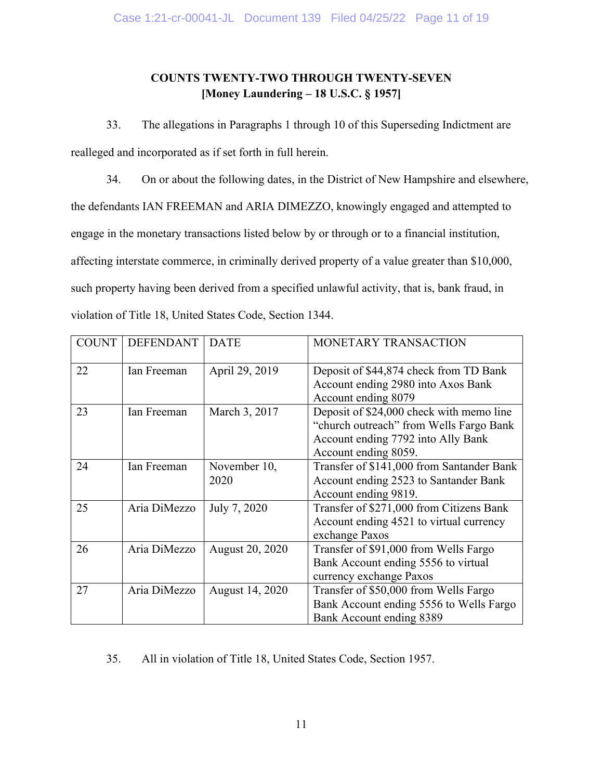# **COUNTS TWENTY-TWO THROUGH TWENTY-SEVEN [Money Laundering – 18 U.S.C. § 1957]**

33. The allegations in Paragraphs 1 through 10 of this Superseding Indictment are realleged and incorporated as if set forth in full herein.

34. On or about the following dates, in the District of New Hampshire and elsewhere, the defendants IAN FREEMAN and ARIA DIMEZZO, knowingly engaged and attempted to engage in the monetary transactions listed below by or through or to a financial institution, affecting interstate commerce, in criminally derived property of a value greater than \$10,000, such property having been derived from a specified unlawful activity, that is, bank fraud, in violation of Title 18, United States Code, Section 1344.

| <b>COUNT</b> | <b>DEFENDANT</b> | <b>DATE</b>          | MONETARY TRANSACTION                                                                                                                              |
|--------------|------------------|----------------------|---------------------------------------------------------------------------------------------------------------------------------------------------|
| 22           | Ian Freeman      | April 29, 2019       | Deposit of \$44,874 check from TD Bank<br>Account ending 2980 into Axos Bank<br>Account ending 8079                                               |
| 23           | Ian Freeman      | March 3, 2017        | Deposit of \$24,000 check with memo line<br>"church outreach" from Wells Fargo Bank<br>Account ending 7792 into Ally Bank<br>Account ending 8059. |
| 24           | Ian Freeman      | November 10,<br>2020 | Transfer of \$141,000 from Santander Bank<br>Account ending 2523 to Santander Bank<br>Account ending 9819.                                        |
| 25           | Aria DiMezzo     | July 7, 2020         | Transfer of \$271,000 from Citizens Bank<br>Account ending 4521 to virtual currency<br>exchange Paxos                                             |
| 26           | Aria DiMezzo     | August 20, 2020      | Transfer of \$91,000 from Wells Fargo<br>Bank Account ending 5556 to virtual<br>currency exchange Paxos                                           |
| 27           | Aria DiMezzo     | August 14, 2020      | Transfer of \$50,000 from Wells Fargo<br>Bank Account ending 5556 to Wells Fargo<br>Bank Account ending 8389                                      |

35. All in violation of Title 18, United States Code, Section 1957.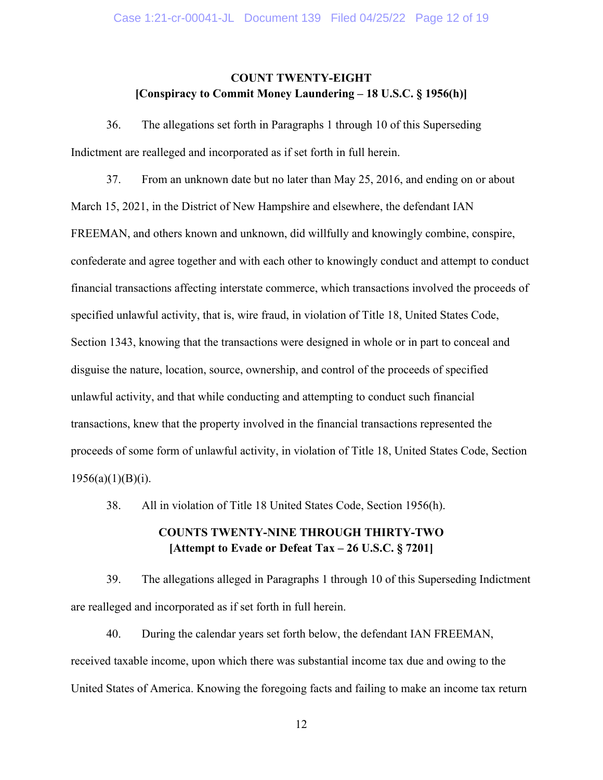## **COUNT TWENTY-EIGHT [Conspiracy to Commit Money Laundering – 18 U.S.C. § 1956(h)]**

36. The allegations set forth in Paragraphs 1 through 10 of this Superseding Indictment are realleged and incorporated as if set forth in full herein.

37. From an unknown date but no later than May 25, 2016, and ending on or about March 15, 2021, in the District of New Hampshire and elsewhere, the defendant IAN FREEMAN, and others known and unknown, did willfully and knowingly combine, conspire, confederate and agree together and with each other to knowingly conduct and attempt to conduct financial transactions affecting interstate commerce, which transactions involved the proceeds of specified unlawful activity, that is, wire fraud, in violation of Title 18, United States Code, Section 1343, knowing that the transactions were designed in whole or in part to conceal and disguise the nature, location, source, ownership, and control of the proceeds of specified unlawful activity, and that while conducting and attempting to conduct such financial transactions, knew that the property involved in the financial transactions represented the proceeds of some form of unlawful activity, in violation of Title 18, United States Code, Section  $1956(a)(1)(B)(i)$ .

38. All in violation of Title 18 United States Code, Section 1956(h).

# **COUNTS TWENTY-NINE THROUGH THIRTY-TWO [Attempt to Evade or Defeat Tax – 26 U.S.C. § 7201]**

39. The allegations alleged in Paragraphs 1 through 10 of this Superseding Indictment are realleged and incorporated as if set forth in full herein.

40. During the calendar years set forth below, the defendant IAN FREEMAN, received taxable income, upon which there was substantial income tax due and owing to the United States of America. Knowing the foregoing facts and failing to make an income tax return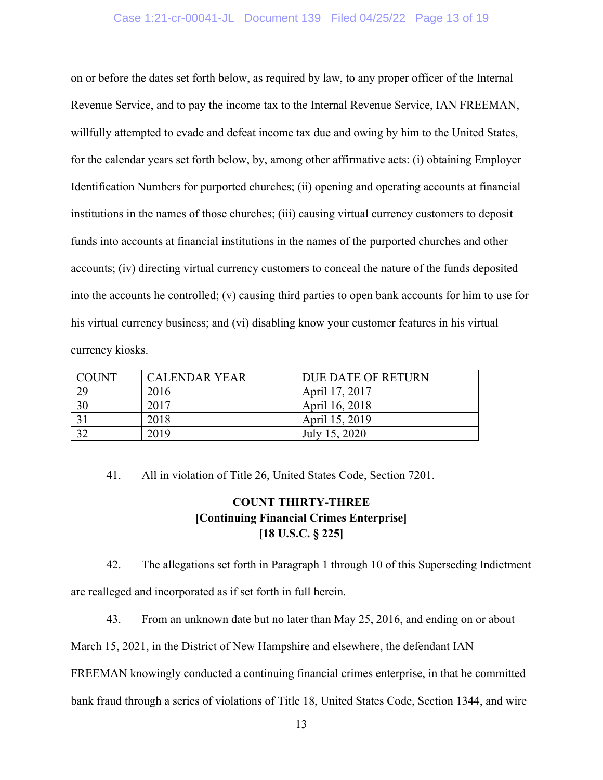## Case 1:21-cr-00041-JL Document 139 Filed 04/25/22 Page 13 of 19

on or before the dates set forth below, as required by law, to any proper officer of the Internal Revenue Service, and to pay the income tax to the Internal Revenue Service, IAN FREEMAN, willfully attempted to evade and defeat income tax due and owing by him to the United States, for the calendar years set forth below, by, among other affirmative acts: (i) obtaining Employer Identification Numbers for purported churches; (ii) opening and operating accounts at financial institutions in the names of those churches; (iii) causing virtual currency customers to deposit funds into accounts at financial institutions in the names of the purported churches and other accounts; (iv) directing virtual currency customers to conceal the nature of the funds deposited into the accounts he controlled; (v) causing third parties to open bank accounts for him to use for his virtual currency business; and (vi) disabling know your customer features in his virtual currency kiosks.

| COUNT | <b>CALENDAR YEAR</b> | DUE DATE OF RETURN |
|-------|----------------------|--------------------|
| 29    | 2016                 | April 17, 2017     |
| 30    | 2017                 | April 16, 2018     |
|       | 2018                 | April 15, 2019     |
| 22    | 2019                 | July 15, 2020      |

41. All in violation of Title 26, United States Code, Section 7201.

# **COUNT THIRTY-THREE [Continuing Financial Crimes Enterprise] [18 U.S.C. § 225]**

42. The allegations set forth in Paragraph 1 through 10 of this Superseding Indictment are realleged and incorporated as if set forth in full herein.

43. From an unknown date but no later than May 25, 2016, and ending on or about

March 15, 2021, in the District of New Hampshire and elsewhere, the defendant IAN

FREEMAN knowingly conducted a continuing financial crimes enterprise, in that he committed

bank fraud through a series of violations of Title 18, United States Code, Section 1344, and wire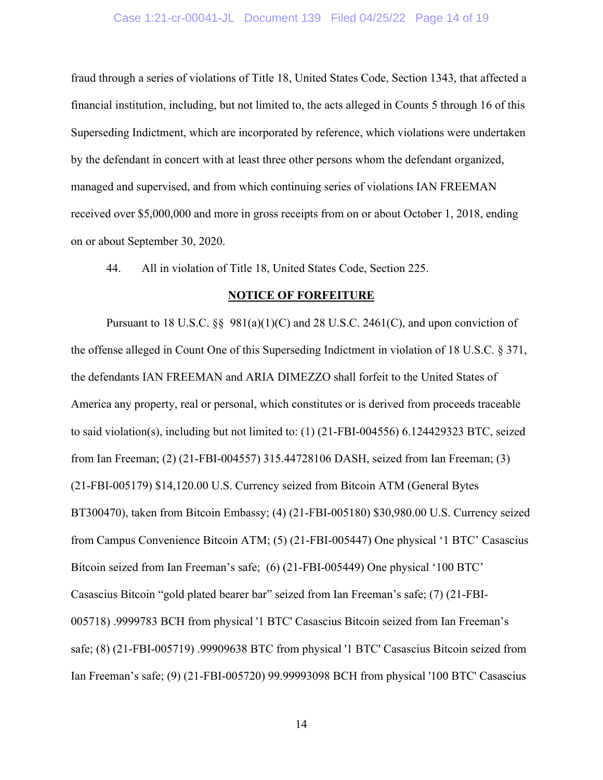## Case 1:21-cr-00041-JL Document 139 Filed 04/25/22 Page 14 of 19

fraud through a series of violations of Title 18, United States Code, Section 1343, that affected a financial institution, including, but not limited to, the acts alleged in Counts 5 through 16 of this Superseding Indictment, which are incorporated by reference, which violations were undertaken by the defendant in concert with at least three other persons whom the defendant organized, managed and supervised, and from which continuing series of violations IAN FREEMAN received over \$5,000,000 and more in gross receipts from on or about October 1, 2018, ending on or about September 30, 2020.

44. All in violation of Title 18, United States Code, Section 225.

#### **NOTICE OF FORFEITURE**

Pursuant to 18 U.S.C.  $\S$  981(a)(1)(C) and 28 U.S.C. 2461(C), and upon conviction of the offense alleged in Count One of this Superseding Indictment in violation of 18 U.S.C. § 371, the defendants IAN FREEMAN and ARIA DIMEZZO shall forfeit to the United States of America any property, real or personal, which constitutes or is derived from proceeds traceable to said violation(s), including but not limited to: (1) (21-FBI-004556) 6.124429323 BTC, seized from Ian Freeman; (2) (21-FBI-004557) 315.44728106 DASH, seized from Ian Freeman; (3) (21-FBI-005179) \$14,120.00 U.S. Currency seized from Bitcoin ATM (General Bytes BT300470), taken from Bitcoin Embassy; (4) (21-FBI-005180) \$30,980.00 U.S. Currency seized from Campus Convenience Bitcoin ATM; (5) (21-FBI-005447) One physical '1 BTC' Casascius Bitcoin seized from Ian Freeman's safe; (6) (21-FBI-005449) One physical '100 BTC' Casascius Bitcoin "gold plated bearer bar" seized from Ian Freeman's safe; (7) (21-FBI-005718) .9999783 BCH from physical '1 BTC' Casascius Bitcoin seized from Ian Freeman's safe; (8) (21-FBI-005719) .99909638 BTC from physical '1 BTC' Casascius Bitcoin seized from Ian Freeman's safe; (9) (21-FBI-005720) 99.99993098 BCH from physical '100 BTC' Casascius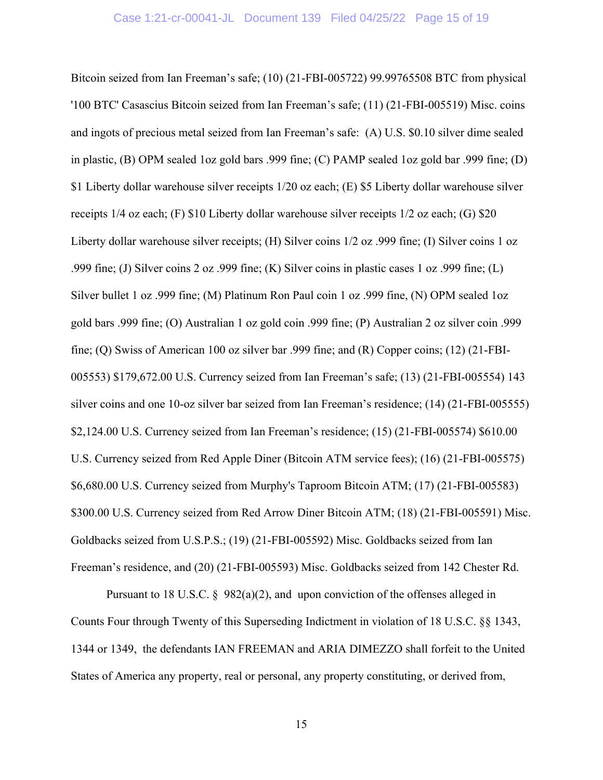Bitcoin seized from Ian Freeman's safe; (10) (21-FBI-005722) 99.99765508 BTC from physical '100 BTC' Casascius Bitcoin seized from Ian Freeman's safe; (11) (21-FBI-005519) Misc. coins and ingots of precious metal seized from Ian Freeman's safe: (A) U.S. \$0.10 silver dime sealed in plastic, (B) OPM sealed 1oz gold bars .999 fine; (C) PAMP sealed 1oz gold bar .999 fine; (D) \$1 Liberty dollar warehouse silver receipts 1/20 oz each; (E) \$5 Liberty dollar warehouse silver receipts 1/4 oz each; (F) \$10 Liberty dollar warehouse silver receipts 1/2 oz each; (G) \$20 Liberty dollar warehouse silver receipts; (H) Silver coins 1/2 oz .999 fine; (I) Silver coins 1 oz .999 fine; (J) Silver coins 2 oz .999 fine; (K) Silver coins in plastic cases 1 oz .999 fine; (L) Silver bullet 1 oz .999 fine; (M) Platinum Ron Paul coin 1 oz .999 fine, (N) OPM sealed 1oz gold bars .999 fine; (O) Australian 1 oz gold coin .999 fine; (P) Australian 2 oz silver coin .999 fine; (Q) Swiss of American 100 oz silver bar .999 fine; and (R) Copper coins; (12) (21-FBI-005553) \$179,672.00 U.S. Currency seized from Ian Freeman's safe; (13) (21-FBI-005554) 143 silver coins and one 10-oz silver bar seized from Ian Freeman's residence; (14) (21-FBI-005555) \$2,124.00 U.S. Currency seized from Ian Freeman's residence; (15) (21-FBI-005574) \$610.00 U.S. Currency seized from Red Apple Diner (Bitcoin ATM service fees); (16) (21-FBI-005575) \$6,680.00 U.S. Currency seized from Murphy's Taproom Bitcoin ATM; (17) (21-FBI-005583) \$300.00 U.S. Currency seized from Red Arrow Diner Bitcoin ATM; (18) (21-FBI-005591) Misc. Goldbacks seized from U.S.P.S.; (19) (21-FBI-005592) Misc. Goldbacks seized from Ian Freeman's residence, and (20) (21-FBI-005593) Misc. Goldbacks seized from 142 Chester Rd.

Pursuant to 18 U.S.C. § 982(a)(2), and upon conviction of the offenses alleged in Counts Four through Twenty of this Superseding Indictment in violation of 18 U.S.C. §§ 1343, 1344 or 1349, the defendants IAN FREEMAN and ARIA DIMEZZO shall forfeit to the United States of America any property, real or personal, any property constituting, or derived from,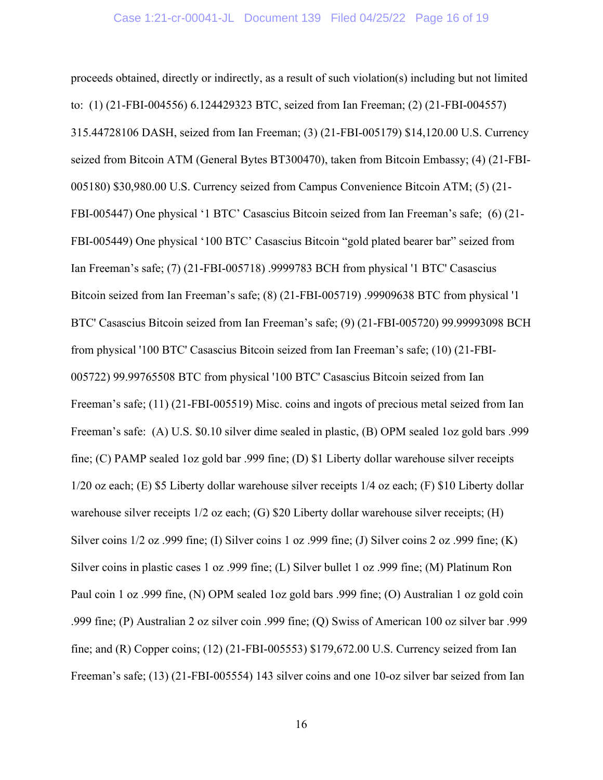proceeds obtained, directly or indirectly, as a result of such violation(s) including but not limited to: (1) (21-FBI-004556) 6.124429323 BTC, seized from Ian Freeman; (2) (21-FBI-004557) 315.44728106 DASH, seized from Ian Freeman; (3) (21-FBI-005179) \$14,120.00 U.S. Currency seized from Bitcoin ATM (General Bytes BT300470), taken from Bitcoin Embassy; (4) (21-FBI-005180) \$30,980.00 U.S. Currency seized from Campus Convenience Bitcoin ATM; (5) (21- FBI-005447) One physical '1 BTC' Casascius Bitcoin seized from Ian Freeman's safe; (6) (21- FBI-005449) One physical '100 BTC' Casascius Bitcoin "gold plated bearer bar" seized from Ian Freeman's safe; (7) (21-FBI-005718) .9999783 BCH from physical '1 BTC' Casascius Bitcoin seized from Ian Freeman's safe; (8) (21-FBI-005719) .99909638 BTC from physical '1 BTC' Casascius Bitcoin seized from Ian Freeman's safe; (9) (21-FBI-005720) 99.99993098 BCH from physical '100 BTC' Casascius Bitcoin seized from Ian Freeman's safe; (10) (21-FBI-005722) 99.99765508 BTC from physical '100 BTC' Casascius Bitcoin seized from Ian Freeman's safe; (11) (21-FBI-005519) Misc. coins and ingots of precious metal seized from Ian Freeman's safe: (A) U.S. \$0.10 silver dime sealed in plastic, (B) OPM sealed 1oz gold bars .999 fine; (C) PAMP sealed 1oz gold bar .999 fine; (D) \$1 Liberty dollar warehouse silver receipts 1/20 oz each; (E) \$5 Liberty dollar warehouse silver receipts 1/4 oz each; (F) \$10 Liberty dollar warehouse silver receipts 1/2 oz each; (G) \$20 Liberty dollar warehouse silver receipts; (H) Silver coins 1/2 oz .999 fine; (I) Silver coins 1 oz .999 fine; (J) Silver coins 2 oz .999 fine; (K) Silver coins in plastic cases 1 oz .999 fine; (L) Silver bullet 1 oz .999 fine; (M) Platinum Ron Paul coin 1 oz .999 fine, (N) OPM sealed 1oz gold bars .999 fine; (O) Australian 1 oz gold coin .999 fine; (P) Australian 2 oz silver coin .999 fine; (Q) Swiss of American 100 oz silver bar .999 fine; and (R) Copper coins; (12) (21-FBI-005553) \$179,672.00 U.S. Currency seized from Ian Freeman's safe; (13) (21-FBI-005554) 143 silver coins and one 10-oz silver bar seized from Ian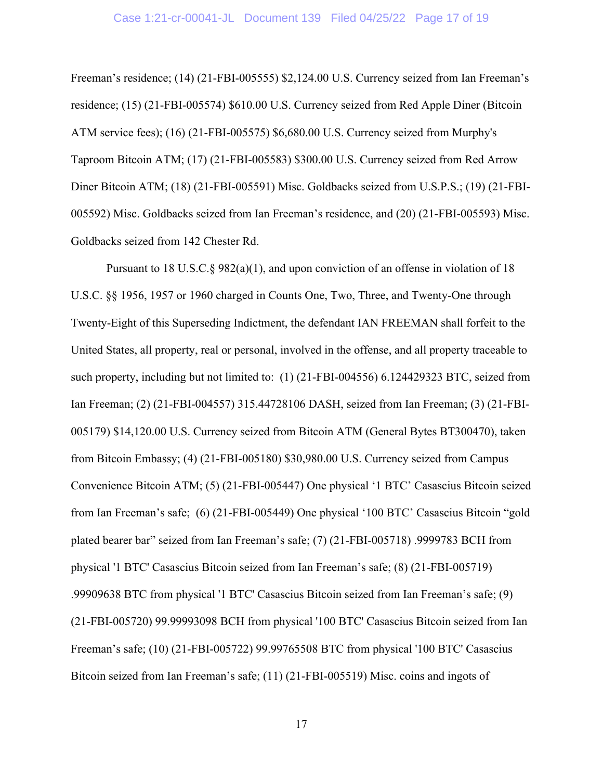#### Case 1:21-cr-00041-JL Document 139 Filed 04/25/22 Page 17 of 19

Freeman's residence; (14) (21-FBI-005555) \$2,124.00 U.S. Currency seized from Ian Freeman's residence; (15) (21-FBI-005574) \$610.00 U.S. Currency seized from Red Apple Diner (Bitcoin ATM service fees); (16) (21-FBI-005575) \$6,680.00 U.S. Currency seized from Murphy's Taproom Bitcoin ATM; (17) (21-FBI-005583) \$300.00 U.S. Currency seized from Red Arrow Diner Bitcoin ATM; (18) (21-FBI-005591) Misc. Goldbacks seized from U.S.P.S.; (19) (21-FBI-005592) Misc. Goldbacks seized from Ian Freeman's residence, and (20) (21-FBI-005593) Misc. Goldbacks seized from 142 Chester Rd.

Pursuant to 18 U.S.C.§ 982(a)(1), and upon conviction of an offense in violation of 18 U.S.C. §§ 1956, 1957 or 1960 charged in Counts One, Two, Three, and Twenty-One through Twenty-Eight of this Superseding Indictment, the defendant IAN FREEMAN shall forfeit to the United States, all property, real or personal, involved in the offense, and all property traceable to such property, including but not limited to: (1) (21-FBI-004556) 6.124429323 BTC, seized from Ian Freeman; (2) (21-FBI-004557) 315.44728106 DASH, seized from Ian Freeman; (3) (21-FBI-005179) \$14,120.00 U.S. Currency seized from Bitcoin ATM (General Bytes BT300470), taken from Bitcoin Embassy; (4) (21-FBI-005180) \$30,980.00 U.S. Currency seized from Campus Convenience Bitcoin ATM; (5) (21-FBI-005447) One physical '1 BTC' Casascius Bitcoin seized from Ian Freeman's safe; (6) (21-FBI-005449) One physical '100 BTC' Casascius Bitcoin "gold plated bearer bar" seized from Ian Freeman's safe; (7) (21-FBI-005718) .9999783 BCH from physical '1 BTC' Casascius Bitcoin seized from Ian Freeman's safe; (8) (21-FBI-005719) .99909638 BTC from physical '1 BTC' Casascius Bitcoin seized from Ian Freeman's safe; (9) (21-FBI-005720) 99.99993098 BCH from physical '100 BTC' Casascius Bitcoin seized from Ian Freeman's safe; (10) (21-FBI-005722) 99.99765508 BTC from physical '100 BTC' Casascius Bitcoin seized from Ian Freeman's safe; (11) (21-FBI-005519) Misc. coins and ingots of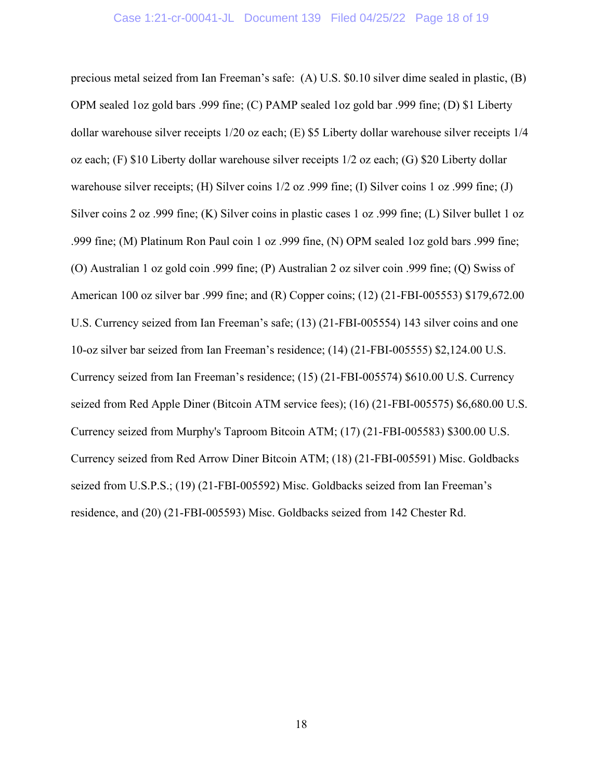## Case 1:21-cr-00041-JL Document 139 Filed 04/25/22 Page 18 of 19

precious metal seized from Ian Freeman's safe: (A) U.S. \$0.10 silver dime sealed in plastic, (B) OPM sealed 1oz gold bars .999 fine; (C) PAMP sealed 1oz gold bar .999 fine; (D) \$1 Liberty dollar warehouse silver receipts 1/20 oz each; (E) \$5 Liberty dollar warehouse silver receipts 1/4 oz each; (F) \$10 Liberty dollar warehouse silver receipts 1/2 oz each; (G) \$20 Liberty dollar warehouse silver receipts; (H) Silver coins 1/2 oz .999 fine; (I) Silver coins 1 oz .999 fine; (J) Silver coins 2 oz .999 fine; (K) Silver coins in plastic cases 1 oz .999 fine; (L) Silver bullet 1 oz .999 fine; (M) Platinum Ron Paul coin 1 oz .999 fine, (N) OPM sealed 1oz gold bars .999 fine; (O) Australian 1 oz gold coin .999 fine; (P) Australian 2 oz silver coin .999 fine; (Q) Swiss of American 100 oz silver bar .999 fine; and (R) Copper coins; (12) (21-FBI-005553) \$179,672.00 U.S. Currency seized from Ian Freeman's safe; (13) (21-FBI-005554) 143 silver coins and one 10-oz silver bar seized from Ian Freeman's residence; (14) (21-FBI-005555) \$2,124.00 U.S. Currency seized from Ian Freeman's residence; (15) (21-FBI-005574) \$610.00 U.S. Currency seized from Red Apple Diner (Bitcoin ATM service fees); (16) (21-FBI-005575) \$6,680.00 U.S. Currency seized from Murphy's Taproom Bitcoin ATM; (17) (21-FBI-005583) \$300.00 U.S. Currency seized from Red Arrow Diner Bitcoin ATM; (18) (21-FBI-005591) Misc. Goldbacks seized from U.S.P.S.; (19) (21-FBI-005592) Misc. Goldbacks seized from Ian Freeman's residence, and (20) (21-FBI-005593) Misc. Goldbacks seized from 142 Chester Rd.